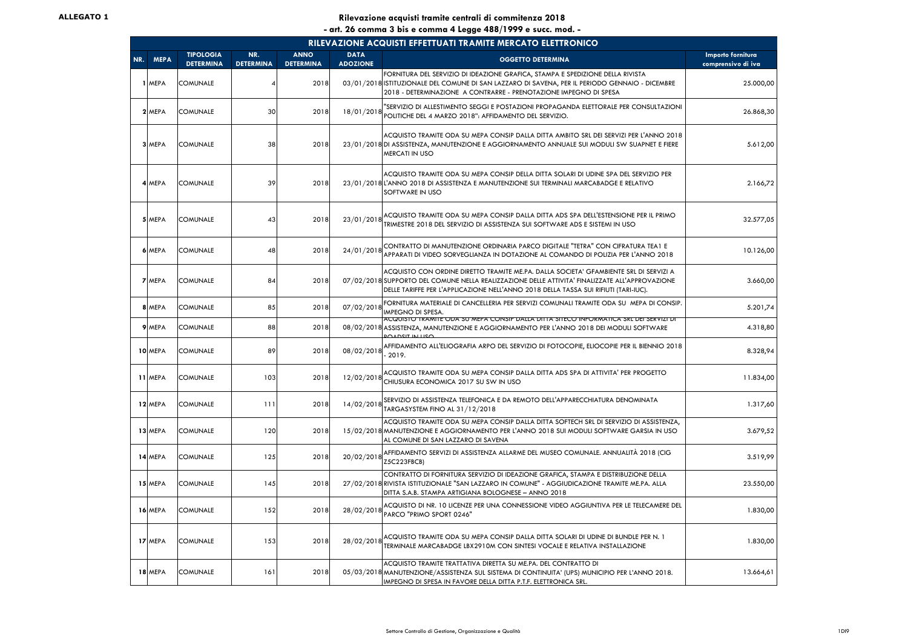|     | RILEVAZIONE ACQUISTI EFFETTUATI TRAMITE MERCATO ELETTRONICO |                                      |                         |                                 |                                |                                                                                                                                                                                                                                                                                 |                                         |  |  |  |  |  |
|-----|-------------------------------------------------------------|--------------------------------------|-------------------------|---------------------------------|--------------------------------|---------------------------------------------------------------------------------------------------------------------------------------------------------------------------------------------------------------------------------------------------------------------------------|-----------------------------------------|--|--|--|--|--|
| NR. | <b>MEPA</b>                                                 | <b>TIPOLOGIA</b><br><b>DETERMINA</b> | NR.<br><b>DETERMINA</b> | <b>ANNO</b><br><b>DETERMINA</b> | <b>DATA</b><br><b>ADOZIONE</b> | <b>OGGETTO DETERMINA</b>                                                                                                                                                                                                                                                        | Importo fornitura<br>comprensivo di iva |  |  |  |  |  |
|     | <b>MEPA</b>                                                 | <b>COMUNALE</b>                      | 4                       | 2018                            |                                | FORNITURA DEL SERVIZIO DI IDEAZIONE GRAFICA, STAMPA E SPEDIZIONE DELLA RIVISTA<br>03/01/2018 ISTITUZIONALE DEL COMUNE DI SAN LAZZARO DI SAVENA, PER IL PERIODO GENNAIO - DICEMBRE<br>2018 - DETERMINAZIONE A CONTRARRE - PRENOTAZIONE IMPEGNO DI SPESA                          | 25.000,00                               |  |  |  |  |  |
|     | 2 MEPA                                                      | <b>COMUNALE</b>                      | 30                      | 2018                            | 18/01/2018                     | "SERVIZIO DI ALLESTIMENTO SEGGI E POSTAZIONI PROPAGANDA ELETTORALE PER CONSULTAZIONI<br>POLITICHE DEL 4 MARZO 2018": AFFIDAMENTO DEL SERVIZIO.                                                                                                                                  | 26.868,30                               |  |  |  |  |  |
|     | 3 MEPA                                                      | <b>COMUNALE</b>                      | 38                      | 2018                            |                                | ACQUISTO TRAMITE ODA SU MEPA CONSIP DALLA DITTA AMBITO SRL DEI SERVIZI PER L'ANNO 2018<br>23/01/2018 DI ASSISTENZA, MANUTENZIONE E AGGIORNAMENTO ANNUALE SUI MODULI SW SUAPNET E FIERE<br><b>MERCATI IN USO</b>                                                                 | 5.612,00                                |  |  |  |  |  |
|     | 4 MEPA                                                      | <b>COMUNALE</b>                      | 39                      | 2018                            |                                | ACQUISTO TRAMITE ODA SU MEPA CONSIP DELLA DITTA SOLARI DI UDINE SPA DEL SERVIZIO PER<br>23/01/2018 L'ANNO 2018 DI ASSISTENZA E MANUTENZIONE SUI TERMINALI MARCABADGE E RELATIVO<br>SOFTWARE IN USO                                                                              | 2.166,72                                |  |  |  |  |  |
|     | 5 MEPA                                                      | <b>COMUNALE</b>                      | 43                      | 2018                            | 23/01/2018                     | ACQUISTO TRAMITE ODA SU MEPA CONSIP DALLA DITTA ADS SPA DELL'ESTENSIONE PER IL PRIMO<br>TRIMESTRE 2018 DEL SERVIZIO DI ASSISTENZA SUI SOFTWARE ADS E SISTEMI IN USO                                                                                                             | 32.577,05                               |  |  |  |  |  |
|     | 6 MEPA                                                      | <b>COMUNALE</b>                      | 48                      | 2018                            | 24/01/2018                     | CONTRATTO DI MANUTENZIONE ORDINARIA PARCO DIGITALE "TETRA" CON CIFRATURA TEA1 E<br>APPARATI DI VIDEO SORVEGLIANZA IN DOTAZIONE AL COMANDO DI POLIZIA PER L'ANNO 2018                                                                                                            | 10.126,00                               |  |  |  |  |  |
|     | <b>7 MEPA</b>                                               | <b>COMUNALE</b>                      | 84                      | 2018                            |                                | ACQUISTO CON ORDINE DIRETTO TRAMITE ME.PA. DALLA SOCIETA' GFAMBIENTE SRL DI SERVIZI A<br>07/02/2018 SUPPORTO DEL COMUNE NELLA REALIZZAZIONE DELLE ATTIVITA' FINALIZZATE ALL'APPROVAZIONE<br>DELLE TARIFFE PER L'APPLICAZIONE NELL'ANNO 2018 DELLA TASSA SUI RIFIUTI (TARI-IUC). | 3.660,00                                |  |  |  |  |  |
|     | 8 MEPA                                                      | <b>COMUNALE</b>                      | 85                      | 2018                            | 07/02/2018                     | FORNITURA MATERIALE DI CANCELLERIA PER SERVIZI COMUNALI TRAMITE ODA SU MEPA DI CONSIP.<br><b>IMPEGNO DI SPESA.</b>                                                                                                                                                              | 5.201,74                                |  |  |  |  |  |
|     | 9 MEPA                                                      | <b>COMUNALE</b>                      | 88                      | 2018                            |                                | acquisto tramite oda su mepa consip dalla ditta siteco informatica srl dei servizi di<br>08/02/2018 ASSISTENZA, MANUTENZIONE E AGGIORNAMENTO PER L'ANNO 2018 DEI MODULI SOFTWARE<br><b>POADSIT IN LISO</b>                                                                      | 4.318,80                                |  |  |  |  |  |
|     | 10 MEPA                                                     | <b>COMUNALE</b>                      | 89                      | 2018                            | 08/02/2018                     | AFFIDAMENTO ALL'ELIOGRAFIA ARPO DEL SERVIZIO DI FOTOCOPIE, ELIOCOPIE PER IL BIENNIO 2018<br>2019.                                                                                                                                                                               | 8.328,94                                |  |  |  |  |  |
|     | 11 MEPA                                                     | <b>COMUNALE</b>                      | 103                     | 2018                            | 12/02/2018                     | ACQUISTO TRAMITE ODA SU MEPA CONSIP DALLA DITTA ADS SPA DI ATTIVITA' PER PROGETTO<br>CHIUSURA ECONOMICA 2017 SU SW IN USO                                                                                                                                                       | 11.834,00                               |  |  |  |  |  |
|     | 12 MEPA                                                     | <b>COMUNALE</b>                      | 111                     | 2018                            | 14/02/2018                     | SERVIZIO DI ASSISTENZA TELEFONICA E DA REMOTO DELL'APPARECCHIATURA DENOMINATA<br>TARGASYSTEM FINO AL 31/12/2018                                                                                                                                                                 | 1.317,60                                |  |  |  |  |  |
|     | 13 MEPA                                                     | <b>COMUNALE</b>                      | 120                     | 2018                            |                                | ACQUISTO TRAMITE ODA SU MEPA CONSIP DALLA DITTA SOFTECH SRL DI SERVIZIO DI ASSISTENZA,<br>15/02/2018 MANUTENZIONE E AGGIORNAMENTO PER L'ANNO 2018 SUI MODULI SOFTWARE GARSIA IN USO<br>AL COMUNE DI SAN LAZZARO DI SAVENA                                                       | 3.679,52                                |  |  |  |  |  |
|     | 14 MEPA                                                     | <b>COMUNALE</b>                      | 125                     | 2018                            | 20/02/2018                     | AFFIDAMENTO SERVIZI DI ASSISTENZA ALLARME DEL MUSEO COMUNALE. ANNUALITÀ 2018 (CIG<br>Z5C223FBCB)                                                                                                                                                                                | 3.519,99                                |  |  |  |  |  |
|     | 15 MEPA                                                     | <b>COMUNALE</b>                      | 145                     | 2018                            |                                | CONTRATTO DI FORNITURA SERVIZIO DI IDEAZIONE GRAFICA, STAMPA E DISTRIBUZIONE DELLA<br>27/02/2018 RIVISTA ISTITUZIONALE "SAN LAZZARO IN COMUNE" - AGGIUDICAZIONE TRAMITE ME.PA. ALLA<br>DITTA S.A.B. STAMPA ARTIGIANA BOLOGNESE - ANNO 2018                                      | 23.550,00                               |  |  |  |  |  |
|     | 16 MEPA                                                     | <b>COMUNALE</b>                      | 152                     | 2018                            | 28/02/2018                     | ACQUISTO DI NR. 10 LICENZE PER UNA CONNESSIONE VIDEO AGGIUNTIVA PER LE TELECAMERE DEL<br>PARCO "PRIMO SPORT 0246"                                                                                                                                                               | 1.830,00                                |  |  |  |  |  |
|     | 17 MEPA                                                     | <b>COMUNALE</b>                      | 153                     | 2018                            | 28/02/2018                     | ACQUISTO TRAMITE ODA SU MEPA CONSIP DALLA DITTA SOLARI DI UDINE DI BUNDLE PER N. 1<br>TERMINALE MARCABADGE LBX2910M CON SINTESI VOCALE E RELATIVA INSTALLAZIONE                                                                                                                 | 1.830,00                                |  |  |  |  |  |
|     | 18 MEPA                                                     | <b>COMUNALE</b>                      | 161                     | 2018                            |                                | ACQUISTO TRAMITE TRATTATIVA DIRETTA SU ME.PA. DEL CONTRATTO DI<br>05/03/2018 MANUTENZIONE/ASSISTENZA SUL SISTEMA DI CONTINUITA' (UPS) MUNICIPIO PER L'ANNO 2018.<br>IMPEGNO DI SPESA IN FAVORE DELLA DITTA P.T.F. ELETTRONICA SRL.                                              | 13.664,61                               |  |  |  |  |  |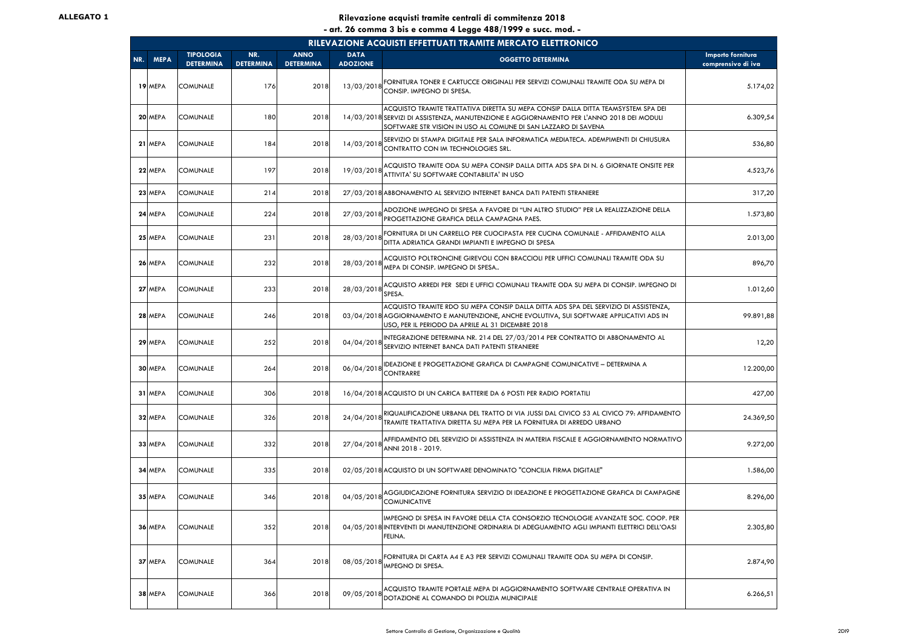|     | RILEVAZIONE ACQUISTI EFFETTUATI TRAMITE MERCATO ELETTRONICO |                                      |                         |                                 |                                |                                                                                                                                                                                                                                                 |                                         |  |  |  |  |  |
|-----|-------------------------------------------------------------|--------------------------------------|-------------------------|---------------------------------|--------------------------------|-------------------------------------------------------------------------------------------------------------------------------------------------------------------------------------------------------------------------------------------------|-----------------------------------------|--|--|--|--|--|
| NR. | <b>MEPA</b>                                                 | <b>TIPOLOGIA</b><br><b>DETERMINA</b> | NR.<br><b>DETERMINA</b> | <b>ANNO</b><br><b>DETERMINA</b> | <b>DATA</b><br><b>ADOZIONE</b> | <b>OGGETTO DETERMINA</b>                                                                                                                                                                                                                        | Importo fornitura<br>comprensivo di iva |  |  |  |  |  |
|     | 19 MEPA                                                     | <b>COMUNALE</b>                      | 176                     | 2018                            | 13/03/2018                     | FORNITURA TONER E CARTUCCE ORIGINALI PER SERVIZI COMUNALI TRAMITE ODA SU MEPA DI<br>CONSIP. IMPEGNO DI SPESA.                                                                                                                                   | 5.174,02                                |  |  |  |  |  |
|     | 20 MEPA                                                     | <b>COMUNALE</b>                      | 180                     | 2018                            |                                | ACQUISTO TRAMITE TRATTATIVA DIRETTA SU MEPA CONSIP DALLA DITTA TEAMSYSTEM SPA DEI<br>14/03/2018 SERVIZI DI ASSISTENZA, MANUTENZIONE E AGGIORNAMENTO PER L'ANNO 2018 DEI MODULI<br>SOFTWARE STR VISION IN USO AL COMUNE DI SAN LAZZARO DI SAVENA | 6.309,54                                |  |  |  |  |  |
|     | 21 MEPA                                                     | <b>COMUNALE</b>                      | 184                     | 2018                            | 14/03/2018                     | SERVIZIO DI STAMPA DIGITALE PER SALA INFORMATICA MEDIATECA. ADEMPIMENTI DI CHIUSURA<br>CONTRATTO CON IM TECHNOLOGIES SRL.                                                                                                                       | 536,80                                  |  |  |  |  |  |
|     | 22 MEPA                                                     | <b>COMUNALE</b>                      | 197                     | 2018                            | 19/03/2018                     | ACQUISTO TRAMITE ODA SU MEPA CONSIP DALLA DITTA ADS SPA DI N. 6 GIORNATE ONSITE PER<br>ATTIVITA' SU SOFTWARE CONTABILITA' IN USO                                                                                                                | 4.523,76                                |  |  |  |  |  |
|     | 23 MEPA                                                     | <b>COMUNALE</b>                      | 214                     | 2018                            |                                | 27/03/2018 ABBONAMENTO AL SERVIZIO INTERNET BANCA DATI PATENTI STRANIERE                                                                                                                                                                        | 317,20                                  |  |  |  |  |  |
|     | 24 MEPA                                                     | <b>COMUNALE</b>                      | 224                     | 2018                            | 27/03/2018                     | ADOZIONE IMPEGNO DI SPESA A FAVORE DI "UN ALTRO STUDIO" PER LA REALIZZAZIONE DELLA<br>PROGETTAZIONE GRAFICA DELLA CAMPAGNA PAES.                                                                                                                | 1.573,80                                |  |  |  |  |  |
|     | 25 MEPA                                                     | <b>COMUNALE</b>                      | 231                     | 2018                            | 28/03/2018                     | FORNITURA DI UN CARRELLO PER CUOCIPASTA PER CUCINA COMUNALE - AFFIDAMENTO ALLA<br>DITTA ADRIATICA GRANDI IMPIANTI E IMPEGNO DI SPESA                                                                                                            | 2.013,00                                |  |  |  |  |  |
|     | 26 MEPA                                                     | <b>COMUNALE</b>                      | 232                     | 2018                            | 28/03/2018                     | ACQUISTO POLTRONCINE GIREVOLI CON BRACCIOLI PER UFFICI COMUNALI TRAMITE ODA SU<br>MEPA DI CONSIP. IMPEGNO DI SPESA                                                                                                                              | 896,70                                  |  |  |  |  |  |
|     | 27 MEPA                                                     | <b>COMUNALE</b>                      | 233                     | 2018                            | 28/03/2018                     | ACQUISTO ARREDI PER SEDI E UFFICI COMUNALI TRAMITE ODA SU MEPA DI CONSIP. IMPEGNO DI<br>SPESA.                                                                                                                                                  | 1.012,60                                |  |  |  |  |  |
|     | 28 MEPA                                                     | <b>COMUNALE</b>                      | 246                     | 2018                            |                                | ACQUISTO TRAMITE RDO SU MEPA CONSIP DALLA DITTA ADS SPA DEL SERVIZIO DI ASSISTENZA,<br>03/04/2018 AGGIORNAMENTO E MANUTENZIONE, ANCHE EVOLUTIVA, SUI SOFTWARE APPLICATIVI ADS IN<br>USO, PER IL PERIODO DA APRILE AL 31 DICEMBRE 2018           | 99.891,88                               |  |  |  |  |  |
|     | 29 MEPA                                                     | <b>COMUNALE</b>                      | 252                     | 2018                            | 04/04/2018                     | INTEGRAZIONE DETERMINA NR. 214 DEL 27/03/2014 PER CONTRATTO DI ABBONAMENTO AL<br>SERVIZIO INTERNET BANCA DATI PATENTI STRANIERE                                                                                                                 | 12,20                                   |  |  |  |  |  |
|     | 30 MEPA                                                     | <b>COMUNALE</b>                      | 264                     | 2018                            | 06/04/2018                     | <b>IDEAZIONE E PROGETTAZIONE GRAFICA DI CAMPAGNE COMUNICATIVE - DETERMINA A</b><br><b>CONTRARRE</b>                                                                                                                                             | 12.200,00                               |  |  |  |  |  |
|     | 31 MEPA                                                     | <b>COMUNALE</b>                      | 306                     | 2018                            |                                | 16/04/2018 ACQUISTO DI UN CARICA BATTERIE DA 6 POSTI PER RADIO PORTATILI                                                                                                                                                                        | 427,00                                  |  |  |  |  |  |
|     | 32 MEPA                                                     | <b>COMUNALE</b>                      | 326                     | 2018                            | 24/04/2018                     | RIQUALIFICAZIONE URBANA DEL TRATTO DI VIA JUSSI DAL CIVICO 53 AL CIVICO 79: AFFIDAMENTO<br>TRAMITE TRATTATIVA DIRETTA SU MEPA PER LA FORNITURA DI ARREDO URBANO                                                                                 | 24.369,50                               |  |  |  |  |  |
|     | 33 MEPA                                                     | <b>COMUNALE</b>                      | 332                     | 2018                            | 27/04/2018                     | AFFIDAMENTO DEL SERVIZIO DI ASSISTENZA IN MATERIA FISCALE E AGGIORNAMENTO NORMATIVO<br>ANNI 2018 - 2019.                                                                                                                                        | 9.272,00                                |  |  |  |  |  |
|     | 34 MEPA                                                     | <b>COMUNALE</b>                      | 335                     | 2018                            |                                | 02/05/2018 ACQUISTO DI UN SOFTWARE DENOMINATO "CONCILIA FIRMA DIGITALE"                                                                                                                                                                         | 1.586,00                                |  |  |  |  |  |
|     | 35 MEPA                                                     | <b>COMUNALE</b>                      | 346                     | 2018                            | 04/05/2018                     | AGGIUDICAZIONE FORNITURA SERVIZIO DI IDEAZIONE E PROGETTAZIONE GRAFICA DI CAMPAGNE<br><b>COMUNICATIVE</b>                                                                                                                                       | 8.296,00                                |  |  |  |  |  |
|     | 36 MEPA                                                     | <b>COMUNALE</b>                      | 352                     | 2018                            |                                | IMPEGNO DI SPESA IN FAVORE DELLA CTA CONSORZIO TECNOLOGIE AVANZATE SOC. COOP. PER<br>04/05/2018 INTERVENTI DI MANUTENZIONE ORDINARIA DI ADEGUAMENTO AGLI IMPIANTI ELETTRICI DELL'OASI<br>FELINA.                                                | 2.305,80                                |  |  |  |  |  |
|     | 37 MEPA                                                     | <b>COMUNALE</b>                      | 364                     | 2018                            | 08/05/2018                     | FORNITURA DI CARTA A4 E A3 PER SERVIZI COMUNALI TRAMITE ODA SU MEPA DI CONSIP.<br><b>MPEGNO DI SPESA.</b>                                                                                                                                       | 2.874,90                                |  |  |  |  |  |
|     | 38 MEPA                                                     | <b>COMUNALE</b>                      | 366                     | 2018                            | 09/05/2018                     | ACQUISTO TRAMITE PORTALE MEPA DI AGGIORNAMENTO SOFTWARE CENTRALE OPERATIVA IN<br>DOTAZIONE AL COMANDO DI POLIZIA MUNICIPALE                                                                                                                     | 6.266,51                                |  |  |  |  |  |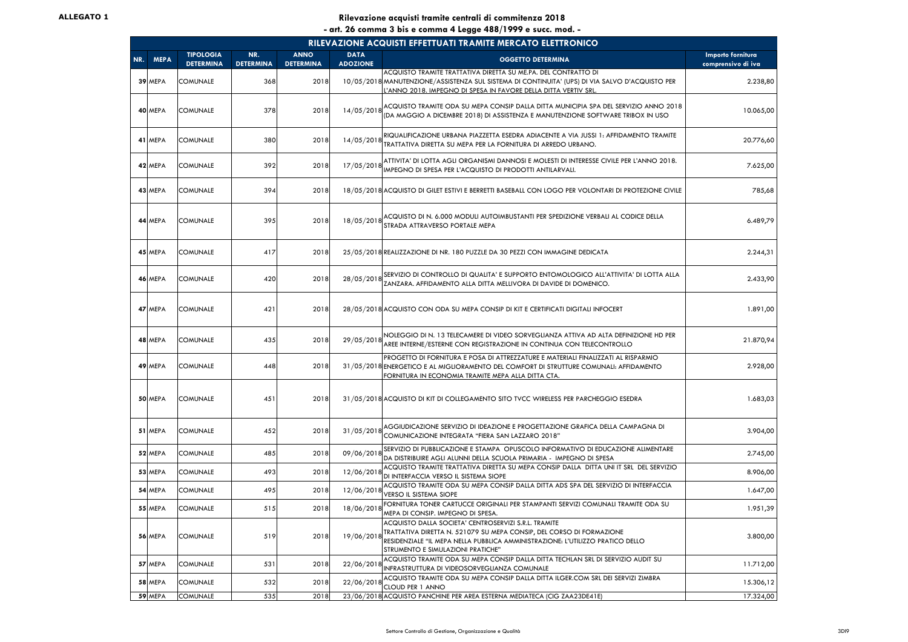|     | RILEVAZIONE ACQUISTI EFFETTUATI TRAMITE MERCATO ELETTRONICO |                                      |                         |                                 |                                |                                                                                                                                                                                                                                                     |                                         |  |  |  |  |  |
|-----|-------------------------------------------------------------|--------------------------------------|-------------------------|---------------------------------|--------------------------------|-----------------------------------------------------------------------------------------------------------------------------------------------------------------------------------------------------------------------------------------------------|-----------------------------------------|--|--|--|--|--|
| NR. | <b>MEPA</b>                                                 | <b>TIPOLOGIA</b><br><b>DETERMINA</b> | NR.<br><b>DETERMINA</b> | <b>ANNO</b><br><b>DETERMINA</b> | <b>DATA</b><br><b>ADOZIONE</b> | <b>OGGETTO DETERMINA</b>                                                                                                                                                                                                                            | Importo fornitura<br>comprensivo di iva |  |  |  |  |  |
|     | 39 MEPA                                                     | COMUNALE                             | 368                     | 2018                            |                                | ACQUISTO TRAMITE TRATTATIVA DIRETTA SU ME.PA. DEL CONTRATTO DI<br>10/05/2018 MANUTENZIONE/ASSISTENZA SUL SISTEMA DI CONTINUITA' (UPS) DI VIA SALVO D'ACQUISTO PER<br>L'ANNO 2018. IMPEGNO DI SPESA IN FAVORE DELLA DITTA VERTIV SRL.                | 2.238,80                                |  |  |  |  |  |
|     | 40 MEPA                                                     | <b>COMUNALE</b>                      | 378                     | 2018                            | 14/05/2018                     | ACQUISTO TRAMITE ODA SU MEPA CONSIP DALLA DITTA MUNICIPIA SPA DEL SERVIZIO ANNO 2018<br>(DA MAGGIO A DICEMBRE 2018) DI ASSISTENZA E MANUTENZIONE SOFTWARE TRIBOX IN USO                                                                             | 10.065,00                               |  |  |  |  |  |
|     | 41 MEPA                                                     | <b>COMUNALE</b>                      | 380                     | 2018                            | 14/05/2018                     | RIQUALIFICAZIONE URBANA PIAZZETTA ESEDRA ADIACENTE A VIA JUSSI 1: AFFIDAMENTO TRAMITE<br>TRATTATIVA DIRETTA SU MEPA PER LA FORNITURA DI ARREDO URBANO.                                                                                              | 20.776,60                               |  |  |  |  |  |
|     | 42 MEPA                                                     | <b>COMUNALE</b>                      | 392                     | 2018                            | 17/05/2018                     | ATTIVITA' DI LOTTA AGLI ORGANISMI DANNOSI E MOLESTI DI INTERESSE CIVILE PER L'ANNO 2018.<br>IMPEGNO DI SPESA PER L'ACQUISTO DI PRODOTTI ANTILARVALI.                                                                                                | 7.625,00                                |  |  |  |  |  |
|     | 43 MEPA                                                     | <b>COMUNALE</b>                      | 394                     | 2018                            |                                | 18/05/2018 ACQUISTO DI GILET ESTIVI E BERRETTI BASEBALL CON LOGO PER VOLONTARI DI PROTEZIONE CIVILE                                                                                                                                                 | 785,68                                  |  |  |  |  |  |
|     | 44 MEPA                                                     | <b>COMUNALE</b>                      | 395                     | 2018                            | 18/05/2018                     | ACQUISTO DI N. 6.000 MODULI AUTOIMBUSTANTI PER SPEDIZIONE VERBALI AL CODICE DELLA<br>STRADA ATTRAVERSO PORTALE MEPA                                                                                                                                 | 6.489,79                                |  |  |  |  |  |
|     | 45 MEPA                                                     | <b>COMUNALE</b>                      | 417                     | 2018                            |                                | 25/05/2018 REALIZZAZIONE DI NR. 180 PUZZLE DA 30 PEZZI CON IMMAGINE DEDICATA                                                                                                                                                                        | 2.244,31                                |  |  |  |  |  |
|     | 46 MEPA                                                     | <b>COMUNALE</b>                      | 420                     | 2018                            | 28/05/2018                     | SERVIZIO DI CONTROLLO DI QUALITA' E SUPPORTO ENTOMOLOGICO ALL'ATTIVITA' DI LOTTA ALLA<br>ZANZARA. AFFIDAMENTO ALLA DITTA MELLIVORA DI DAVIDE DI DOMENICO.                                                                                           | 2.433,90                                |  |  |  |  |  |
|     | 47 MEPA                                                     | <b>COMUNALE</b>                      | 421                     | 2018                            |                                | 28/05/2018 ACQUISTO CON ODA SU MEPA CONSIP DI KIT E CERTIFICATI DIGITALI INFOCERT                                                                                                                                                                   | 1.891,00                                |  |  |  |  |  |
|     | 48 MEPA                                                     | <b>COMUNALE</b>                      | 435                     | 2018                            | 29/05/2018                     | NOLEGGIO DI N. 13 TELECAMERE DI VIDEO SORVEGLIANZA ATTIVA AD ALTA DEFINIZIONE HD PER<br>AREE INTERNE/ESTERNE CON REGISTRAZIONE IN CONTINUA CON TELECONTROLLO                                                                                        | 21.870,94                               |  |  |  |  |  |
|     | 49 MEPA                                                     | <b>COMUNALE</b>                      | 448                     | 2018                            |                                | PROGETTO DI FORNITURA E POSA DI ATTREZZATURE E MATERIALI FINALIZZATI AL RISPARMIO<br>31/05/2018 ENERGETICO E AL MIGLIORAMENTO DEL COMFORT DI STRUTTURE COMUNALI: AFFIDAMENTO<br>FORNITURA IN ECONOMIA TRAMITE MEPA ALLA DITTA CTA.                  | 2.928,00                                |  |  |  |  |  |
|     | 50 MEPA                                                     | <b>COMUNALE</b>                      | 451                     | 2018                            |                                | 31/05/2018 ACQUISTO DI KIT DI COLLEGAMENTO SITO TVCC WIRELESS PER PARCHEGGIO ESEDRA                                                                                                                                                                 | 1.683,03                                |  |  |  |  |  |
|     | 51 MEPA                                                     | <b>COMUNALE</b>                      | 452                     | 2018                            | 31/05/2018                     | AGGIUDICAZIONE SERVIZIO DI IDEAZIONE E PROGETTAZIONE GRAFICA DELLA CAMPAGNA DI<br>COMUNICAZIONE INTEGRATA "FIERA SAN LAZZARO 2018"                                                                                                                  | 3.904,00                                |  |  |  |  |  |
|     | 52 MEPA                                                     | <b>COMUNALE</b>                      | 485                     | 2018                            | 09/06/2018                     | SERVIZIO DI PUBBLICAZIONE E STAMPA OPUSCOLO INFORMATIVO DI EDUCAZIONE ALIMENTARE<br>DA DISTRIBUIRE AGLI ALUNNI DELLA SCUOLA PRIMARIA - IMPEGNO DI SPESA                                                                                             | 2.745,00                                |  |  |  |  |  |
|     | 53 MEPA                                                     | <b>COMUNALE</b>                      | 493                     | 2018                            | 12/06/2018                     | ACQUISTO TRAMITE TRATTATIVA DIRETTA SU MEPA CONSIP DALLA DITTA UNI IT SRL DEL SERVIZIO<br>DI INTERFACCIA VERSO IL SISTEMA SIOPE                                                                                                                     | 8.906,00                                |  |  |  |  |  |
|     | 54 MEPA                                                     | <b>COMUNALE</b>                      | 495                     | 2018                            | 12/06/2018                     | ACQUISTO TRAMITE ODA SU MEPA CONSIP DALLA DITTA ADS SPA DEL SERVIZIO DI INTERFACCIA<br><b>VERSO IL SISTEMA SIOPE</b>                                                                                                                                | 1.647,00                                |  |  |  |  |  |
|     | 55 MEPA                                                     | <b>COMUNALE</b>                      | 515                     | 2018                            | 18/06/2018                     | FORNITURA TONER CARTUCCE ORIGINALI PER STAMPANTI SERVIZI COMUNALI TRAMITE ODA SU<br>MEPA DI CONSIP. IMPEGNO DI SPESA.                                                                                                                               | 1.951,39                                |  |  |  |  |  |
|     | 56 MEPA                                                     | <b>COMUNALE</b>                      | 519                     | 2018                            | 19/06/2018                     | ACQUISTO DALLA SOCIETA' CENTROSERVIZI S.R.L. TRAMITE<br>TRATTATIVA DIRETTA N. 521079 SU MEPA CONSIP, DEL CORSO DI FORMAZIONE<br>RESIDENZIALE "IL MEPA NELLA PUBBLICA AMMINISTRAZIONE: L'UTILIZZO PRATICO DELLO<br>STRUMENTO E SIMULAZIONI PRATICHE" | 3.800,00                                |  |  |  |  |  |
|     | 57 MEPA                                                     | <b>COMUNALE</b>                      | 531                     | 2018                            | 22/06/2018                     | ACQUISTO TRAMITE ODA SU MEPA CONSIP DALLA DITTA TECHLAN SRL DI SERVIZIO AUDIT SU<br>INFRASTRUTTURA DI VIDEOSORVEGLIANZA COMUNALE                                                                                                                    | 11.712,00                               |  |  |  |  |  |
|     | 58 MEPA                                                     | <b>COMUNALE</b>                      | 532                     | 2018                            | 22/06/2018                     | ACQUISTO TRAMITE ODA SU MEPA CONSIP DALLA DITTA ILGER.COM SRL DEI SERVIZI ZIMBRA<br>CLOUD PER 1 ANNO                                                                                                                                                | 15.306,12                               |  |  |  |  |  |
|     | 59 MEPA                                                     | <b>COMUNALE</b>                      | 535                     | 2018                            |                                | 23/06/2018 ACQUISTO PANCHINE PER AREA ESTERNA MEDIATECA (CIG ZAA23DE41E)                                                                                                                                                                            | 17.324,00                               |  |  |  |  |  |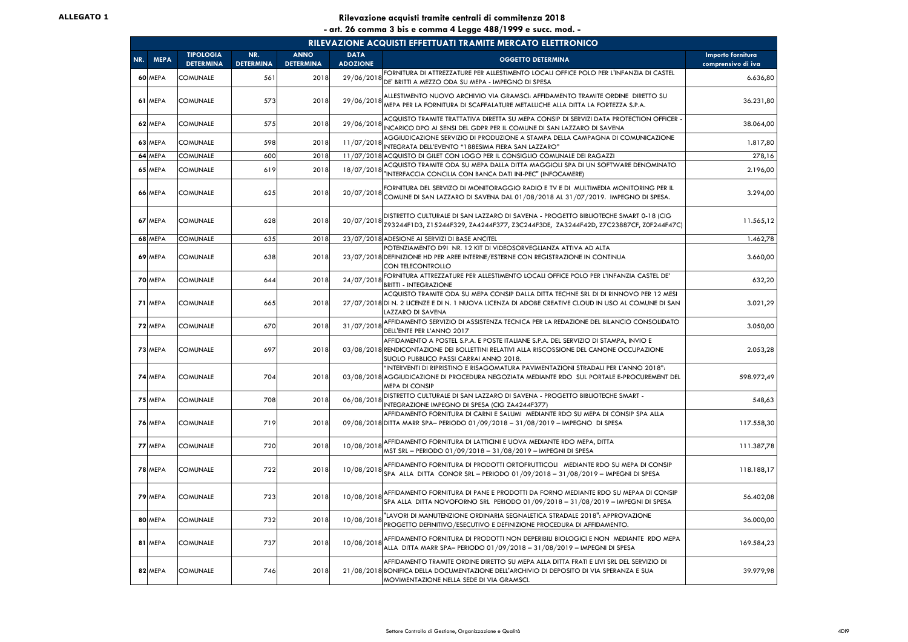|     | RILEVAZIONE ACQUISTI EFFETTUATI TRAMITE MERCATO ELETTRONICO |                                      |                         |                                 |                                |                                                                                                                                                                                                                                 |                                         |  |  |  |  |  |
|-----|-------------------------------------------------------------|--------------------------------------|-------------------------|---------------------------------|--------------------------------|---------------------------------------------------------------------------------------------------------------------------------------------------------------------------------------------------------------------------------|-----------------------------------------|--|--|--|--|--|
| NR. | <b>MEPA</b>                                                 | <b>TIPOLOGIA</b><br><b>DETERMINA</b> | NR.<br><b>DETERMINA</b> | <b>ANNO</b><br><b>DETERMINA</b> | <b>DATA</b><br><b>ADOZIONE</b> | <b>OGGETTO DETERMINA</b>                                                                                                                                                                                                        | Importo fornitura<br>comprensivo di iva |  |  |  |  |  |
|     | 60 MEPA                                                     | COMUNALE                             | 561                     | 2018                            | 29/06/2018                     | FORNITURA DI ATTREZZATURE PER ALLESTIMENTO LOCALI OFFICE POLO PER L'INFANZIA DI CASTEL<br>DE' BRITTI A MEZZO ODA SU MEPA - IMPEGNO DI SPESA                                                                                     | 6.636,80                                |  |  |  |  |  |
|     | 61 MEPA                                                     | <b>COMUNALE</b>                      | 573                     | 2018                            | 29/06/2018                     | ALLESTIMENTO NUOVO ARCHIVIO VIA GRAMSCI: AFFIDAMENTO TRAMITE ORDINE DIRETTO SU<br>MEPA PER LA FORNITURA DI SCAFFALATURE METALLICHE ALLA DITTA LA FORTEZZA S.P.A.                                                                | 36.231,80                               |  |  |  |  |  |
|     | 62 MEPA                                                     | <b>COMUNALE</b>                      | 575                     | 2018                            | 29/06/2018                     | ACQUISTO TRAMITE TRATTATIVA DIRETTA SU MEPA CONSIP DI SERVIZI DATA PROTECTION OFFICER<br>INCARICO DPO AI SENSI DEL GDPR PER IL COMUNE DI SAN LAZZARO DI SAVENA                                                                  | 38.064,00                               |  |  |  |  |  |
|     | 63 MEPA                                                     | <b>COMUNALE</b>                      | 598                     | 2018                            | 11/07/2018                     | AGGIUDICAZIONE SERVIZIO DI PRODUZIONE A STAMPA DELLA CAMPAGNA DI COMUNICAZIONE<br>INTEGRATA DELL'EVENTO "188ESIMA FIERA SAN LAZZARO"                                                                                            | 1.817,80                                |  |  |  |  |  |
|     | 64 MEPA                                                     | COMUNALE                             | 600                     | 2018                            |                                | 11/07/2018 ACQUISTO DI GILET CON LOGO PER IL CONSIGLIO COMUNALE DEI RAGAZZI                                                                                                                                                     | 278,16                                  |  |  |  |  |  |
|     | 65 MEPA                                                     | <b>COMUNALE</b>                      | 619                     | 2018                            | 18/07/2018                     | ACQUISTO TRAMITE ODA SU MEPA DALLA DITTA MAGGIOLI SPA DI UN SOFTWARE DENOMINATO<br>"INTERFACCIA CONCILIA CON BANCA DATI INI-PEC" (INFOCAMERE)                                                                                   | 2.196,00                                |  |  |  |  |  |
|     | 66 MEPA                                                     | <b>COMUNALE</b>                      | 625                     | 2018                            | 20/07/2018                     | FORNITURA DEL SERVIZO DI MONITORAGGIO RADIO E TV E DI MULTIMEDIA MONITORING PER IL<br>COMUNE DI SAN LAZZARO DI SAVENA DAL 01/08/2018 AL 31/07/2019. IMPEGNO DI SPESA.                                                           | 3.294,00                                |  |  |  |  |  |
|     | 67 MEPA                                                     | <b>COMUNALE</b>                      | 628                     | 2018                            | 20/07/2018                     | DISTRETTO CULTURALE DI SAN LAZZARO DI SAVENA - PROGETTO BIBLIOTECHE SMART 0-18 (CIG<br>Z93244F1D3, Z15244F329, ZA4244F377, Z3C244F3DE, ZA3244F42D, Z7C23887CF, Z0F244F47C)                                                      | 11.565,12                               |  |  |  |  |  |
|     | 68 MEPA                                                     | <b>COMUNALE</b>                      | 635                     | 2018                            |                                | 23/07/2018 ADESIONE AI SERVIZI DI BASE ANCITEL                                                                                                                                                                                  | 1.462,78                                |  |  |  |  |  |
|     | 69 MEPA                                                     | <b>COMUNALE</b>                      | 638                     | 2018                            |                                | POTENZIAMENTO D91 NR. 12 KIT DI VIDEOSORVEGLIANZA ATTIVA AD ALTA<br>23/07/2018 DEFINIZIONE HD PER AREE INTERNE/ESTERNE CON REGISTRAZIONE IN CONTINUA<br>CON TELECONTROLLO                                                       | 3.660,00                                |  |  |  |  |  |
|     | 70 MEPA                                                     | <b>COMUNALE</b>                      | 644                     | 2018                            | 24/07/2018                     | FORNITURA ATTREZZATURE PER ALLESTIMENTO LOCALI OFFICE POLO PER L'INFANZIA CASTEL DE'<br><b>BRITTI - INTEGRAZIONE</b>                                                                                                            | 632,20                                  |  |  |  |  |  |
|     | 71 MEPA                                                     | <b>COMUNALE</b>                      | 665                     | 2018                            |                                | ACQUISTO TRAMITE ODA SU MEPA CONSIP DALLA DITTA TECHNE SRL DI DI RINNOVO PER 12 MESI<br>27/07/2018 DI N. 2 LICENZE E DI N. 1 NUOVA LICENZA DI ADOBE CREATIVE CLOUD IN USO AL COMUNE DI SAN<br>LAZZARO DI SAVENA                 | 3.021,29                                |  |  |  |  |  |
|     | 72 MEPA                                                     | <b>COMUNALE</b>                      | 670                     | 2018                            | 31/07/2018                     | AFFIDAMENTO SERVIZIO DI ASSISTENZA TECNICA PER LA REDAZIONE DEL BILANCIO CONSOLIDATO<br>DELL'ENTE PER L'ANNO 2017                                                                                                               | 3.050,00                                |  |  |  |  |  |
|     | 73 MEPA                                                     | <b>COMUNALE</b>                      | 697                     | 2018                            |                                | AFFIDAMENTO A POSTEL S.P.A. E POSTE ITALIANE S.P.A. DEL SERVIZIO DI STAMPA, INVIO E<br>03/08/2018 RENDICONTAZIONE DEI BOLLETTINI RELATIVI ALLA RISCOSSIONE DEL CANONE OCCUPAZIONE<br>SUOLO PUBBLICO PASSI CARRAI ANNO 2018.     | 2.053,28                                |  |  |  |  |  |
|     | 74 MEPA                                                     | <b>COMUNALE</b>                      | 704                     | 2018                            |                                | "INTERVENTI DI RIPRISTINO E RISAGOMATURA PAVIMENTAZIONI STRADALI PER L'ANNO 2018":<br>03/08/2018 AGGIUDICAZIONE DI PROCEDURA NEGOZIATA MEDIANTE RDO SUL PORTALE E-PROCUREMENT DEL<br><b>MEPA DI CONSIP</b>                      | 598.972,49                              |  |  |  |  |  |
|     | 75 MEPA                                                     | <b>COMUNALE</b>                      | 708                     | 2018                            | 06/08/2018                     | DISTRETTO CULTURALE DI SAN LAZZARO DI SAVENA - PROGETTO BIBLIOTECHE SMART -<br>INTEGRAZIONE IMPEGNO DI SPESA (CIG ZA4244F377)                                                                                                   | 548,63                                  |  |  |  |  |  |
|     | 76 MEPA                                                     | <b>COMUNALE</b>                      | 719                     | 2018                            |                                | AFFIDAMENTO FORNITURA DI CARNI E SALUMI MEDIANTE RDO SU MEPA DI CONSIP SPA ALLA<br>09/08/2018 DITTA MARR SPA- PERIODO 01/09/2018 - 31/08/2019 - IMPEGNO DI SPESA                                                                | 117.558,30                              |  |  |  |  |  |
|     | 77 MEPA                                                     | <b>COMUNALE</b>                      | 720                     | 2018                            | 10/08/2018                     | AFFIDAMENTO FORNITURA DI LATTICINI E UOVA MEDIANTE RDO MEPA, DITTA<br>MST SRL - PERIODO 01/09/2018 - 31/08/2019 - IMPEGNI DI SPESA                                                                                              | 111.387,78                              |  |  |  |  |  |
|     | 78 MEPA                                                     | <b>COMUNALE</b>                      | 722                     | 2018                            | 10/08/2018                     | AFFIDAMENTO FORNITURA DI PRODOTTI ORTOFRUTTICOLI MEDIANTE RDO SU MEPA DI CONSIP<br>SPA ALLA DITTA CONOR SRL - PERIODO 01/09/2018 - 31/08/2019 - IMPEGNI DI SPESA                                                                | 118.188,17                              |  |  |  |  |  |
|     | 79 MEPA                                                     | <b>COMUNALE</b>                      | 723                     | 2018                            | 10/08/2018                     | AFFIDAMENTO FORNITURA DI PANE E PRODOTTI DA FORNO MEDIANTE RDO SU MEPAA DI CONSIP<br>SPA ALLA DITTA NOVOFORNO SRL PERIODO 01/09/2018 - 31/08/2019 - IMPEGNI DI SPESA                                                            | 56.402,08                               |  |  |  |  |  |
|     | 80 MEPA                                                     | <b>COMUNALE</b>                      | 732                     | 2018                            | 10/08/2018                     | "LAVORI DI MANUTENZIONE ORDINARIA SEGNALETICA STRADALE 2018": APPROVAZIONE<br>PROGETTO DEFINITIVO/ESECUTIVO E DEFINIZIONE PROCEDURA DI AFFIDAMENTO.                                                                             | 36.000,00                               |  |  |  |  |  |
|     | 81 MEPA                                                     | <b>COMUNALE</b>                      | 737                     | 2018                            | 10/08/2018                     | AFFIDAMENTO FORNITURA DI PRODOTTI NON DEPERIBILI BIOLOGICI E NON MEDIANTE RDO MEPA<br>ALLA DITTA MARR SPA- PERIODO 01/09/2018 - 31/08/2019 - IMPEGNI DI SPESA                                                                   | 169.584,23                              |  |  |  |  |  |
|     | 82 MEPA                                                     | <b>COMUNALE</b>                      | 746                     | 2018                            |                                | AFFIDAMENTO TRAMITE ORDINE DIRETTO SU MEPA ALLA DITTA FRATI E LIVI SRL DEL SERVIZIO DI<br>21/08/2018 BONIFICA DELLA DOCUMENTAZIONE DELL'ARCHIVIO DI DEPOSITO DI VIA SPERANZA E SUA<br>MOVIMENTAZIONE NELLA SEDE DI VIA GRAMSCI. | 39.979,98                               |  |  |  |  |  |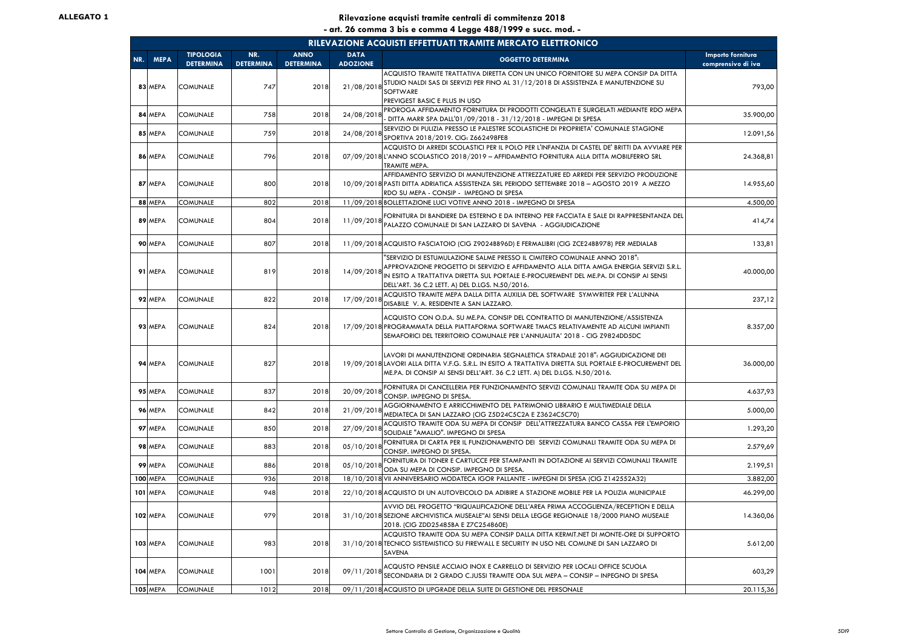|     | RILEVAZIONE ACQUISTI EFFETTUATI TRAMITE MERCATO ELETTRONICO |                                      |                         |                                 |                                |                                                                                                                                                                                                                                                                                                                |                                         |  |  |  |  |
|-----|-------------------------------------------------------------|--------------------------------------|-------------------------|---------------------------------|--------------------------------|----------------------------------------------------------------------------------------------------------------------------------------------------------------------------------------------------------------------------------------------------------------------------------------------------------------|-----------------------------------------|--|--|--|--|
| NR. | <b>MEPA</b>                                                 | <b>TIPOLOGIA</b><br><b>DETERMINA</b> | NR.<br><b>DETERMINA</b> | <b>ANNO</b><br><b>DETERMINA</b> | <b>DATA</b><br><b>ADOZIONE</b> | <b>OGGETTO DETERMINA</b>                                                                                                                                                                                                                                                                                       | Importo fornitura<br>comprensivo di iva |  |  |  |  |
|     | 83 MEPA                                                     | <b>COMUNALE</b>                      | 747                     | 2018                            | 21/08/2018                     | ACQUISTO TRAMITE TRATTATIVA DIRETTA CON UN UNICO FORNITORE SU MEPA CONSIP DA DITTA<br>STUDIO NALDI SAS DI SERVIZI PER FINO AL 31/12/2018 DI ASSISTENZA E MANUTENZIONE SU<br>SOFTWARE<br>PREVIGEST BASIC E PLUS IN USO                                                                                          | 793,00                                  |  |  |  |  |
| 84  | <b>MEPA</b>                                                 | <b>COMUNALE</b>                      | 758                     | 2018                            | 24/08/2018                     | PROROGA AFFIDAMENTO FORNITURA DI PRODOTTI CONGELATI E SURGELATI MEDIANTE RDO MEPA<br>- DITTA MARR SPA DALL'01/09/2018 - 31/12/2018 - IMPEGNI DI SPESA                                                                                                                                                          | 35.900,00                               |  |  |  |  |
|     | 85 MEPA                                                     | <b>COMUNALE</b>                      | 759                     | 2018                            | 24/08/2018                     | SERVIZIO DI PULIZIA PRESSO LE PALESTRE SCOLASTICHE DI PROPRIETA' COMUNALE STAGIONE<br>SPORTIVA 2018/2019. CIG: Z662498FE8                                                                                                                                                                                      | 12.091,56                               |  |  |  |  |
|     | 86 MEPA                                                     | <b>COMUNALE</b>                      | 796                     | 2018                            |                                | ACQUISTO DI ARREDI SCOLASTICI PER IL POLO PER L'INFANZIA DI CASTEL DE' BRITTI DA AVVIARE PER<br>07/09/2018 L'ANNO SCOLASTICO 2018/2019 - AFFIDAMENTO FORNITURA ALLA DITTA MOBILFERRO SRL<br>TRAMITE MEPA.                                                                                                      | 24.368,81                               |  |  |  |  |
|     | 87 MEPA                                                     | <b>COMUNALE</b>                      | 800                     | 2018                            |                                | AFFIDAMENTO SERVIZIO DI MANUTENZIONE ATTREZZATURE ED ARREDI PER SERVIZIO PRODUZIONE<br>10/09/2018 PASTI DITTA ADRIATICA ASSISTENZA SRL PERIODO SETTEMBRE 2018 - AGOSTO 2019 A MEZZO<br>RDO SU MEPA - CONSIP - IMPEGNO DI SPESA                                                                                 | 14.955,60                               |  |  |  |  |
|     | 88 MEPA                                                     | <b>COMUNALE</b>                      | 802                     | 2018                            |                                | 11/09/2018 BOLLETTAZIONE LUCI VOTIVE ANNO 2018 - IMPEGNO DI SPESA                                                                                                                                                                                                                                              | 4.500,00                                |  |  |  |  |
|     | 89 MEPA                                                     | <b>COMUNALE</b>                      | 804                     | 2018                            | 11/09/2018                     | FORNITURA DI BANDIERE DA ESTERNO E DA INTERNO PER FACCIATA E SALE DI RAPPRESENTANZA DEL<br>PALAZZO COMUNALE DI SAN LAZZARO DI SAVENA - AGGIUDICAZIONE                                                                                                                                                          | 414,74                                  |  |  |  |  |
|     | 90 MEPA                                                     | <b>COMUNALE</b>                      | 807                     | 2018                            |                                | 11/09/2018 ACQUISTO FASCIATOIO (CIG Z9024BB96D) E FERMALIBRI (CIG ZCE24BB978) PER MEDIALAB                                                                                                                                                                                                                     | 133,81                                  |  |  |  |  |
|     | 91 MEPA                                                     | <b>COMUNALE</b>                      | 819                     | 2018                            | 14/09/2018                     | "SERVIZIO DI ESTUMULAZIONE SALME PRESSO IL CIMITERO COMUNALE ANNO 2018":<br>APPROVAZIONE PROGETTO DI SERVIZIO E AFFIDAMENTO ALLA DITTA AMGA ENERGIA SERVIZI S.R.L.<br>IN ESITO A TRATTATIVA DIRETTA SUL PORTALE E-PROCUREMENT DEL ME.PA. DI CONSIP AI SENSI<br>DELL'ART. 36 C.2 LETT. A) DEL D.LGS. N.50/2016. | 40.000,00                               |  |  |  |  |
|     | 92 MEPA                                                     | <b>COMUNALE</b>                      | 822                     | 2018                            | 17/09/2018                     | ACQUISTO TRAMITE MEPA DALLA DITTA AUXILIA DEL SOFTWARE SYMWRITER PER L'ALUNNA<br>DISABILE V. A. RESIDENTE A SAN LAZZARO.                                                                                                                                                                                       | 237,12                                  |  |  |  |  |
|     | 93 MEPA                                                     | <b>COMUNALE</b>                      | 824                     | 2018                            |                                | ACQUISTO CON O.D.A. SU ME.PA. CONSIP DEL CONTRATTO DI MANUTENZIONE/ASSISTENZA<br>17/09/2018 PROGRAMMATA DELLA PIATTAFORMA SOFTWARE TMACS RELATIVAMENTE AD ALCUNI IMPIANTI<br>SEMAFORICI DEL TERRITORIO COMUNALE PER L'ANNUALITA' 2018 - CIG Z9824DD5DC                                                         | 8.357,00                                |  |  |  |  |
|     | 94 MEPA                                                     | <b>COMUNALE</b>                      | 827                     | 2018                            |                                | LAVORI DI MANUTENZIONE ORDINARIA SEGNALETICA STRADALE 2018": AGGIUDICAZIONE DEI<br>19/09/2018 LAVORI ALLA DITTA V.F.G. S.R.L. IN ESITO A TRATTATIVA DIRETTA SUL PORTALE E-PROCUREMENT DEL<br>ME.PA. DI CONSIP AI SENSI DELL'ART. 36 C.2 LETT. A) DEL D.LGS. N.50/2016.                                         | 36.000,00                               |  |  |  |  |
|     | 95 MEPA                                                     | <b>COMUNALE</b>                      | 837                     | 2018                            | 20/09/2018                     | FORNITURA DI CANCELLERIA PER FUNZIONAMENTO SERVIZI COMUNALI TRAMITE ODA SU MEPA DI<br>CONSIP. IMPEGNO DI SPESA.                                                                                                                                                                                                | 4.637,93                                |  |  |  |  |
|     | 96 MEPA                                                     | <b>COMUNALE</b>                      | 842                     | 2018                            | 21/09/2018                     | AGGIORNAMENTO E ARRICCHIMENTO DEL PATRIMONIO LIBRARIO E MULTIMEDIALE DELLA<br>MEDIATECA DI SAN LAZZARO (CIG Z5D24C5C2A E Z3624C5C70)                                                                                                                                                                           | 5.000,00                                |  |  |  |  |
| 97  | <b>MEPA</b>                                                 | <b>COMUNALE</b>                      | 850                     | 2018                            | 27/09/2018                     | ACQUISTO TRAMITE ODA SU MEPA DI CONSIP DELL'ATTREZZATURA BANCO CASSA PER L'EMPORIO<br>SOLIDALE "AMALIO". IMPEGNO DI SPESA                                                                                                                                                                                      | 1.293,20                                |  |  |  |  |
|     | 98 MEPA                                                     | <b>COMUNALE</b>                      | 883                     | 2018                            | 05/10/2018                     | FORNITURA DI CARTA PER IL FUNZIONAMENTO DEI SERVIZI COMUNALI TRAMITE ODA SU MEPA DI<br>CONSIP. IMPEGNO DI SPESA.                                                                                                                                                                                               | 2.579,69                                |  |  |  |  |
|     | 99 MEPA                                                     | <b>COMUNALE</b>                      | 886                     | 2018                            | 05/10/2018                     | FORNITURA DI TONER E CARTUCCE PER STAMPANTI IN DOTAZIONE AI SERVIZI COMUNALI TRAMITE<br>ODA SU MEPA DI CONSIP. IMPEGNO DI SPESA.                                                                                                                                                                               | 2.199,51                                |  |  |  |  |
|     | <b>100 MEPA</b>                                             | <b>COMUNALE</b>                      | 936                     | 2018                            |                                | 18/10/2018 VII ANNIVERSARIO MODATECA IGOR PALLANTE - IMPEGNI DI SPESA (CIG Z142552A32)                                                                                                                                                                                                                         | 3.882,00                                |  |  |  |  |
| 101 | <b>MEPA</b>                                                 | <b>COMUNALE</b>                      | 948                     | 2018                            |                                | 22/10/2018 ACQUISTO DI UN AUTOVEICOLO DA ADIBIRE A STAZIONE MOBILE PER LA POLIZIA MUNICIPALE                                                                                                                                                                                                                   | 46.299,00                               |  |  |  |  |
|     | <b>102 MEPA</b>                                             | <b>COMUNALE</b>                      | 979                     | 2018                            |                                | AVVIO DEL PROGETTO "RIQUALIFICAZIONE DELL'AREA PRIMA ACCOGLIENZA/RECEPTION E DELLA<br>31/10/2018 SEZIONE ARCHIVISTICA MUSEALE"AI SENSI DELLA LEGGE REGIONALE 18/2000 PIANO MUSEALE<br>2018. (CIG ZDD25485BA E Z7C254860E)                                                                                      | 14.360,06                               |  |  |  |  |
|     | <b>103 MEPA</b>                                             | <b>COMUNALE</b>                      | 983                     | 2018                            |                                | ACQUISTO TRAMITE ODA SU MEPA CONSIP DALLA DITTA KERMIT.NET DI MONTE-ORE DI SUPPORTO<br>31/10/2018 TECNICO SISTEMISTICO SU FIREWALL E SECURITY IN USO NEL COMUNE DI SAN LAZZARO DI<br>SAVENA                                                                                                                    | 5.612,00                                |  |  |  |  |
|     | 104 MEPA                                                    | <b>COMUNALE</b>                      | 1001                    | 2018                            | 09/11/2018                     | ACQUSTO PENSILE ACCIAIO INOX E CARRELLO DI SERVIZIO PER LOCALI OFFICE SCUOLA<br>SECONDARIA DI 2 GRADO C.JUSSI TRAMITE ODA SUL MEPA - CONSIP - INPEGNO DI SPESA                                                                                                                                                 | 603,29                                  |  |  |  |  |
|     | <b>105 MEPA</b>                                             | <b>COMUNALE</b>                      | 1012                    | 2018                            |                                | 09/11/2018 ACQUISTO DI UPGRADE DELLA SUITE DI GESTIONE DEL PERSONALE                                                                                                                                                                                                                                           | 20.115,36                               |  |  |  |  |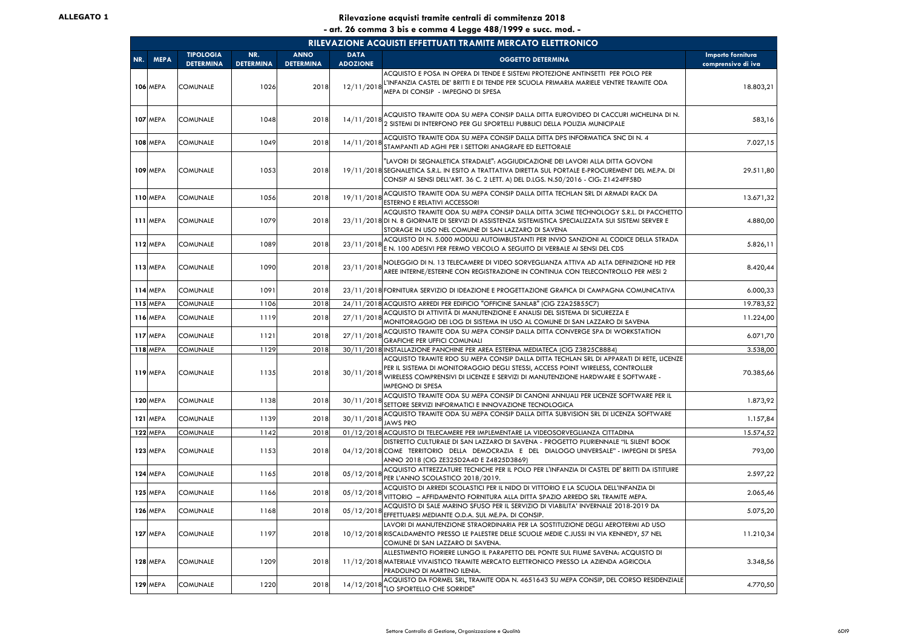|     | RILEVAZIONE ACQUISTI EFFETTUATI TRAMITE MERCATO ELETTRONICO |                                      |                         |                                 |                                |                                                                                                                                                                                                                                                                                          |                                         |  |  |  |  |  |
|-----|-------------------------------------------------------------|--------------------------------------|-------------------------|---------------------------------|--------------------------------|------------------------------------------------------------------------------------------------------------------------------------------------------------------------------------------------------------------------------------------------------------------------------------------|-----------------------------------------|--|--|--|--|--|
| NR. | <b>MEPA</b>                                                 | <b>TIPOLOGIA</b><br><b>DETERMINA</b> | NR.<br><b>DETERMINA</b> | <b>ANNO</b><br><b>DETERMINA</b> | <b>DATA</b><br><b>ADOZIONE</b> | <b>OGGETTO DETERMINA</b>                                                                                                                                                                                                                                                                 | Importo fornitura<br>comprensivo di iva |  |  |  |  |  |
|     | <b>106 MEPA</b>                                             | <b>COMUNALE</b>                      | 1026                    | 2018                            | 12/11/2018                     | ACQUISTO E POSA IN OPERA DI TENDE E SISTEMI PROTEZIONE ANTINSETTI PER POLO PER<br>L'INFANZIA CASTEL DE' BRITTI E DI TENDE PER SCUOLA PRIMARIA MARIELE VENTRE TRAMITE ODA<br>MEPA DI CONSIP - IMPEGNO DI SPESA                                                                            | 18.803,21                               |  |  |  |  |  |
|     | <b>107 MEPA</b>                                             | <b>COMUNALE</b>                      | 1048                    | 2018                            | 14/11/2018                     | ACQUISTO TRAMITE ODA SU MEPA CONSIP DALLA DITTA EUROVIDEO DI CACCURI MICHELINA DI N.<br>2 SISTEMI DI INTERFONO PER GLI SPORTELLI PUBBLICI DELLA POLIZIA MUNICIPALE                                                                                                                       | 583,16                                  |  |  |  |  |  |
|     | 108 MEPA                                                    | <b>COMUNALE</b>                      | 1049                    | 2018                            | 14/11/2018                     | ACQUISTO TRAMITE ODA SU MEPA CONSIP DALLA DITTA DPS INFORMATICA SNC DI N. 4<br>STAMPANTI AD AGHI PER I SETTORI ANAGRAFE ED ELETTORALE                                                                                                                                                    | 7.027,15                                |  |  |  |  |  |
|     | <b>109 MEPA</b>                                             | <b>COMUNALE</b>                      | 1053                    | 2018                            |                                | "LAVORI DI SEGNALETICA STRADALE": AGGIUDICAZIONE DEI LAVORI ALLA DITTA GOVONI<br>19/11/2018 SEGNALETICA S.R.L. IN ESITO A TRATTATIVA DIRETTA SUL PORTALE E-PROCUREMENT DEL ME.PA. DI<br>CONSIP AI SENSI DELL'ART. 36 C. 2 LETT. A) DEL D.LGS. N.50/2016 - CIG: Z1424FF5BD                | 29.511,80                               |  |  |  |  |  |
|     | <b>110 MEPA</b>                                             | <b>COMUNALE</b>                      | 1056                    | 2018                            | 19/11/2018                     | ACQUISTO TRAMITE ODA SU MEPA CONSIP DALLA DITTA TECHLAN SRL DI ARMADI RACK DA<br>ESTERNO E RELATIVI ACCESSORI                                                                                                                                                                            | 13.671,32                               |  |  |  |  |  |
|     | 111 MEPA                                                    | <b>COMUNALE</b>                      | 1079                    | 2018                            |                                | ACQUISTO TRAMITE ODA SU MEPA CONSIP DALLA DITTA 3CIME TECHNOLOGY S.R.L. DI PACCHETTO<br>23/11/2018 DI N. 8 GIORNATE DI SERVIZI DI ASSISTENZA SISTEMISTICA SPECIALIZZATA SUI SISTEMI SERVER E<br>STORAGE IN USO NEL COMUNE DI SAN LAZZARO DI SAVENA                                       | 4.880,00                                |  |  |  |  |  |
|     | 112 MEPA                                                    | <b>COMUNALE</b>                      | 1089                    | 2018                            | 23/11/2018                     | ACQUISTO DI N. 5.000 MODULI AUTOIMBUSTANTI PER INVIO SANZIONI AL CODICE DELLA STRADA<br>E N. 100 ADESIVI PER FERMO VEICOLO A SEGUITO DI VERBALE AI SENSI DEL CDS                                                                                                                         | 5.826,11                                |  |  |  |  |  |
|     | <b>113 MEPA</b>                                             | <b>COMUNALE</b>                      | 1090                    | 2018                            | 23/11/2018                     | NOLEGGIO DI N. 13 TELECAMERE DI VIDEO SORVEGLIANZA ATTIVA AD ALTA DEFINIZIONE HD PER<br>AREE INTERNE/ESTERNE CON REGISTRAZIONE IN CONTINUA CON TELECONTROLLO PER MESI 2                                                                                                                  | 8.420,44                                |  |  |  |  |  |
|     | <b>114 MEPA</b>                                             | <b>COMUNALE</b>                      | 1091                    | 2018                            |                                | 23/11/2018 FORNITURA SERVIZIO DI IDEAZIONE E PROGETTAZIONE GRAFICA DI CAMPAGNA COMUNICATIVA                                                                                                                                                                                              | 6.000,33                                |  |  |  |  |  |
|     | <b>115 MEPA</b>                                             | <b>COMUNALE</b>                      | 1106                    | 2018                            |                                | 24/11/2018 ACQUISTO ARREDI PER EDIFICIO "OFFICINE SANLAB" (CIG Z2A25B55C7)                                                                                                                                                                                                               | 19.783,52                               |  |  |  |  |  |
|     | <b>116 MEPA</b>                                             | <b>COMUNALE</b>                      | 1119                    | 2018                            | 27/11/2018                     | ACQUISTO DI ATTIVITÀ DI MANUTENZIONE E ANALISI DEL SISTEMA DI SICUREZZA E<br>MONITORAGGIO DEI LOG DI SISTEMA IN USO AL COMUNE DI SAN LAZZARO DI SAVENA                                                                                                                                   | 11.224,00                               |  |  |  |  |  |
|     | 117 MEPA                                                    | <b>COMUNALE</b>                      | 1121                    | 2018                            | 27/11/2018                     | ACQUISTO TRAMITE ODA SU MEPA CONSIP DALLA DITTA CONVERGE SPA DI WORKSTATION<br><b>GRAFICHE PER UFFICI COMUNALI</b>                                                                                                                                                                       | 6.071,70                                |  |  |  |  |  |
|     | 118 MEPA                                                    | <b>COMUNALE</b>                      | 1129                    | 2018                            |                                | 30/11/2018 INSTALLAZIONE PANCHINE PER AREA ESTERNA MEDIATECA (CIG Z3825C8884)                                                                                                                                                                                                            | 3.538,00                                |  |  |  |  |  |
|     | <b>119 MEPA</b>                                             | <b>COMUNALE</b>                      | 1135                    | 2018                            | 30/11/2018                     | ACQUISTO TRAMITE RDO SU MEPA CONSIP DALLA DITTA TECHLAN SRL DI APPARATI DI RETE, LICENZE<br>PER IL SISTEMA DI MONITORAGGIO DEGLI STESSI, ACCESS POINT WIRELESS, CONTROLLER<br>WIRELESS COMPRENSIVI DI LICENZE E SERVIZI DI MANUTENZIONE HARDWARE E SOFTWARE -<br><b>IMPEGNO DI SPESA</b> | 70.385,66                               |  |  |  |  |  |
|     | <b>120 MEPA</b>                                             | <b>COMUNALE</b>                      | 1138                    | 2018                            | 30/11/2018                     | ACQUISTO TRAMITE ODA SU MEPA CONSIP DI CANONI ANNUALI PER LICENZE SOFTWARE PER IL<br>SETTORE SERVIZI INFORMATICI E INNOVAZIONE TECNOLOGICA                                                                                                                                               | 1.873,92                                |  |  |  |  |  |
|     | 121 MEPA                                                    | <b>COMUNALE</b>                      | 1139                    | 2018                            | 30/11/2018                     | ACQUISTO TRAMITE ODA SU MEPA CONSIP DALLA DITTA SUBVISION SRL DI LICENZA SOFTWARE<br><b>JAWS PRO</b>                                                                                                                                                                                     | 1.157,84                                |  |  |  |  |  |
|     | 122 MEPA                                                    | <b>COMUNALE</b>                      | 1142                    | 2018                            |                                | 01/12/2018 ACQUISTO DI TELECAMERE PER IMPLEMENTARE LA VIDEOSORVEGLIANZA CITTADINA                                                                                                                                                                                                        | 15.574,52                               |  |  |  |  |  |
|     | 123 MEPA                                                    | <b>COMUNALE</b>                      | 1153                    | 2018                            |                                | DISTRETTO CULTURALE DI SAN LAZZARO DI SAVENA - PROGETTO PLURIENNALE "IL SILENT BOOK<br>04/12/2018 COME TERRITORIO DELLA DEMOCRAZIA E DEL DIALOGO UNIVERSALE" - IMPEGNI DI SPESA<br>ANNO 2018 (CIG ZE325D2A4D E Z4825D3869)                                                               | 793,00                                  |  |  |  |  |  |
|     | <b>124 MEPA</b>                                             | <b>COMUNALE</b>                      | 1165                    | 2018                            | 05/12/2018                     | ACQUISTO ATTREZZATURE TECNICHE PER IL POLO PER L'INFANZIA DI CASTEL DE' BRITTI DA ISTITUIRE<br>PER L'ANNO SCOLASTICO 2018/2019.                                                                                                                                                          | 2.597,22                                |  |  |  |  |  |
|     | <b>125 MEPA</b>                                             | <b>COMUNALE</b>                      | 1166                    | 2018                            | 05/12/2018                     | ACQUISTO DI ARREDI SCOLASTICI PER IL NIDO DI VITTORIO E LA SCUOLA DELL'INFANZIA DI<br>VITTORIO - AFFIDAMENTO FORNITURA ALLA DITTA SPAZIO ARREDO SRL TRAMITE MEPA.                                                                                                                        | 2.065,46                                |  |  |  |  |  |
|     | <b>126 MEPA</b>                                             | <b>COMUNALE</b>                      | 1168                    | 2018                            | 05/12/2018                     | ACQUISTO DI SALE MARINO SFUSO PER IL SERVIZIO DI VIABILITA' INVERNALE 2018-2019 DA<br>EFFETTUARSI MEDIANTE O.D.A. SUL ME.PA. DI CONSIP.                                                                                                                                                  | 5.075,20                                |  |  |  |  |  |
|     | 127 MEPA                                                    | <b>COMUNALE</b>                      | 1197                    | 2018                            |                                | LAVORI DI MANUTENZIONE STRAORDINARIA PER LA SOSTITUZIONE DEGLI AEROTERMI AD USO<br>10/12/2018 RISCALDAMENTO PRESSO LE PALESTRE DELLE SCUOLE MEDIE C.JUSSI IN VIA KENNEDY, 57 NEL<br>COMUNE DI SAN LAZZARO DI SAVENA.                                                                     | 11.210,34                               |  |  |  |  |  |
|     | <b>128 MEPA</b>                                             | <b>COMUNALE</b>                      | 1209                    | 2018                            |                                | ALLESTIMENTO FIORIERE LUNGO IL PARAPETTO DEL PONTE SUL FIUME SAVENA: ACQUISTO DI<br>11/12/2018 MATERIALE VIVAISTICO TRAMITE MERCATO ELETTRONICO PRESSO LA AZIENDA AGRICOLA<br>PRADOLINO DI MARTINO ILENIA.                                                                               | 3.348,56                                |  |  |  |  |  |
|     | <b>129 MEPA</b>                                             | <b>COMUNALE</b>                      | 1220                    | 2018                            | 14/12/2018                     | ACQUISTO DA FORMEL SRL, TRAMITE ODA N. 4651643 SU MEPA CONSIP, DEL CORSO RESIDENZIALE<br>"LO SPORTELLO CHE SORRIDE"                                                                                                                                                                      | 4.770,50                                |  |  |  |  |  |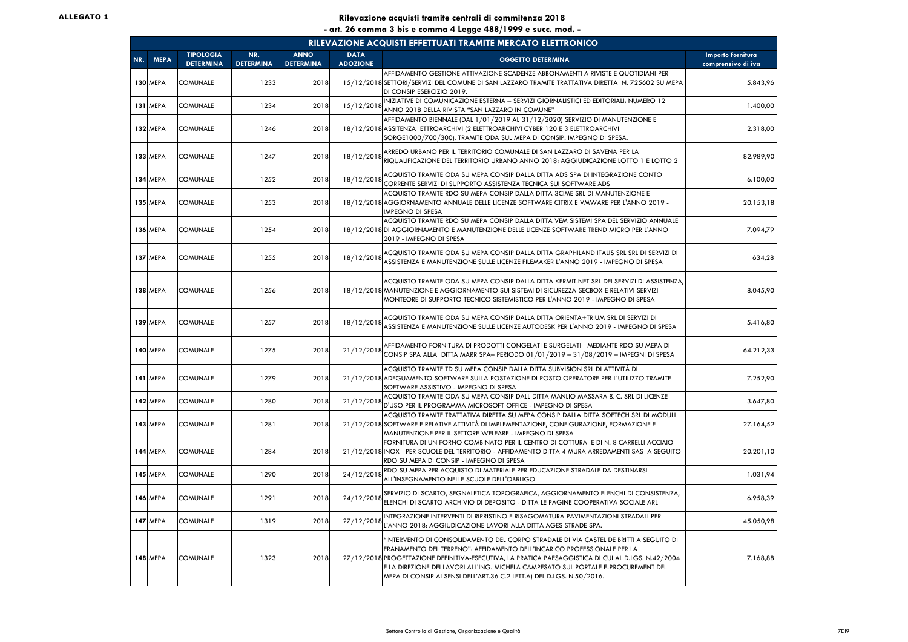|     | RILEVAZIONE ACQUISTI EFFETTUATI TRAMITE MERCATO ELETTRONICO |                                      |                         |                                 |                                |                                                                                                                                                                                                                                                                                                                                                                                                                                       |                                         |  |  |  |  |  |
|-----|-------------------------------------------------------------|--------------------------------------|-------------------------|---------------------------------|--------------------------------|---------------------------------------------------------------------------------------------------------------------------------------------------------------------------------------------------------------------------------------------------------------------------------------------------------------------------------------------------------------------------------------------------------------------------------------|-----------------------------------------|--|--|--|--|--|
| NR. | <b>MEPA</b>                                                 | <b>TIPOLOGIA</b><br><b>DETERMINA</b> | NR.<br><b>DETERMINA</b> | <b>ANNO</b><br><b>DETERMINA</b> | <b>DATA</b><br><b>ADOZIONE</b> | <b>OGGETTO DETERMINA</b>                                                                                                                                                                                                                                                                                                                                                                                                              | Importo fornitura<br>comprensivo di iva |  |  |  |  |  |
|     | 130 MEPA                                                    | <b>COMUNALE</b>                      | 1233                    | 2018                            |                                | AFFIDAMENTO GESTIONE ATTIVAZIONE SCADENZE ABBONAMENTI A RIVISTE E QUOTIDIANI PER<br>15/12/2018 SETTORI/SERVIZI DEL COMUNE DI SAN LAZZARO TRAMITE TRATTATIVA DIRETTA N. 725602 SU MEPA<br>DI CONSIP ESERCIZIO 2019.                                                                                                                                                                                                                    | 5.843,96                                |  |  |  |  |  |
|     | 131 MEPA                                                    | <b>COMUNALE</b>                      | 1234                    | 2018                            | 15/12/2018                     | INIZIATIVE DI COMUNICAZIONE ESTERNA - SERVIZI GIORNALISTICI ED EDITORIALI: NUMERO 12<br>ANNO 2018 DELLA RIVISTA "SAN LAZZARO IN COMUNE"                                                                                                                                                                                                                                                                                               | 1.400,00                                |  |  |  |  |  |
|     | <b>132 MEPA</b>                                             | <b>COMUNALE</b>                      | 1246                    | 2018                            |                                | AFFIDAMENTO BIENNALE (DAL 1/01/2019 AL 31/12/2020) SERVIZIO DI MANUTENZIONE E<br>18/12/2018 ASSITENZA ETTROARCHIVI (2 ELETTROARCHIVI CYBER 120 E 3 ELETTROARCHIVI<br>SORGE1000/700/300). TRAMITE ODA SUL MEPA DI CONSIP. IMPEGNO DI SPESA.                                                                                                                                                                                            | 2.318,00                                |  |  |  |  |  |
|     | <b>133 MEPA</b>                                             | <b>COMUNALE</b>                      | 1247                    | 2018                            | 18/12/2018                     | ARREDO URBANO PER IL TERRITORIO COMUNALE DI SAN LAZZARO DI SAVENA PER LA<br>RIQUALIFICAZIONE DEL TERRITORIO URBANO ANNO 2018: AGGIUDICAZIONE LOTTO 1 E LOTTO 2                                                                                                                                                                                                                                                                        | 82.989,90                               |  |  |  |  |  |
|     | 134 MEPA                                                    | <b>COMUNALE</b>                      | 1252                    | 2018                            | 18/12/2018                     | ACQUISTO TRAMITE ODA SU MEPA CONSIP DALLA DITTA ADS SPA DI INTEGRAZIONE CONTO<br>CORRENTE SERVIZI DI SUPPORTO ASSISTENZA TECNICA SUI SOFTWARE ADS                                                                                                                                                                                                                                                                                     | 6.100,00                                |  |  |  |  |  |
|     | 135 MEPA                                                    | <b>COMUNALE</b>                      | 1253                    | 2018                            |                                | ACQUISTO TRAMITE RDO SU MEPA CONSIP DALLA DITTA 3CIME SRL DI MANUTENZIONE E<br>18/12/2018 AGGIORNAMENTO ANNUALE DELLE LICENZE SOFTWARE CITRIX E VMWARE PER L'ANNO 2019 -<br><b>IMPEGNO DI SPESA</b>                                                                                                                                                                                                                                   | 20.153,18                               |  |  |  |  |  |
|     | 136 MEPA                                                    | <b>COMUNALE</b>                      | 1254                    | 2018                            |                                | ACQUISTO TRAMITE RDO SU MEPA CONSIP DALLA DITTA VEM SISTEMI SPA DEL SERVIZIO ANNUALE<br>18/12/2018 DI AGGIORNAMENTO E MANUTENZIONE DELLE LICENZE SOFTWARE TREND MICRO PER L'ANNO<br>2019 - IMPEGNO DI SPESA                                                                                                                                                                                                                           | 7.094,79                                |  |  |  |  |  |
|     | 137 MEPA                                                    | <b>COMUNALE</b>                      | 1255                    | 2018                            | 18/12/2018                     | ACQUISTO TRAMITE ODA SU MEPA CONSIP DALLA DITTA GRAPHILAND ITALIS SRL SRL DI SERVIZI DI<br>ASSISTENZA E MANUTENZIONE SULLE LICENZE FILEMAKER L'ANNO 2019 - IMPEGNO DI SPESA                                                                                                                                                                                                                                                           | 634,28                                  |  |  |  |  |  |
|     | 138 MEPA                                                    | <b>COMUNALE</b>                      | 1256                    | 2018                            |                                | ACQUISTO TRAMITE ODA SU MEPA CONSIP DALLA DITTA KERMIT.NET SRL DEI SERVIZI DI ASSISTENZA,<br>18/12/2018 MANUTENZIONE E AGGIORNAMENTO SUI SISTEMI DI SICUREZZA SECBOX E RELATIVI SERVIZI<br>MONTEORE DI SUPPORTO TECNICO SISTEMISTICO PER L'ANNO 2019 - IMPEGNO DI SPESA                                                                                                                                                               | 8.045,90                                |  |  |  |  |  |
|     | 139 MEPA                                                    | <b>COMUNALE</b>                      | 1257                    | 2018                            | 18/12/2018                     | ACQUISTO TRAMITE ODA SU MEPA CONSIP DALLA DITTA ORIENTA+TRIUM SRL DI SERVIZI DI<br>ASSISTENZA E MANUTENZIONE SULLE LICENZE AUTODESK PER L'ANNO 2019 - IMPEGNO DI SPESA                                                                                                                                                                                                                                                                | 5.416,80                                |  |  |  |  |  |
|     | 140 MEPA                                                    | <b>COMUNALE</b>                      | 1275                    | 2018                            | 21/12/2018                     | AFFIDAMENTO FORNITURA DI PRODOTTI CONGELATI E SURGELATI MEDIANTE RDO SU MEPA DI<br>CONSIP SPA ALLA DITTA MARR SPA- PERIODO 01/01/2019 - 31/08/2019 - IMPEGNI DI SPESA                                                                                                                                                                                                                                                                 | 64.212,33                               |  |  |  |  |  |
|     | 141 MEPA                                                    | <b>COMUNALE</b>                      | 1279                    | 2018                            |                                | ACQUISTO TRAMITE TD SU MEPA CONSIP DALLA DITTA SUBVISION SRL DI ATTIVITÀ DI<br>21/12/2018 ADEGUAMENTO SOFTWARE SULLA POSTAZIONE DI POSTO OPERATORE PER L'UTILIZZO TRAMITE<br>SOFTWARE ASSISTIVO - IMPEGNO DI SPESA                                                                                                                                                                                                                    | 7.252,90                                |  |  |  |  |  |
|     | 142 MEPA                                                    | <b>COMUNALE</b>                      | 1280                    | 2018                            | 21/12/2018                     | ACQUISTO TRAMITE ODA SU MEPA CONSIP DALL DITTA MANLIO MASSARA & C. SRL DI LICENZE<br>D'USO PER IL PROGRAMMA MICROSOFT OFFICE - IMPEGNO DI SPESA                                                                                                                                                                                                                                                                                       | 3.647,80                                |  |  |  |  |  |
|     | 143 MEPA                                                    | <b>COMUNALE</b>                      | 1281                    | 2018                            |                                | ACQUISTO TRAMITE TRATTATIVA DIRETTA SU MEPA CONSIP DALLA DITTA SOFTECH SRL DI MODULI<br>21/12/2018 SOFTWARE E RELATIVE ATTIVITÀ DI IMPLEMENTAZIONE, CONFIGURAZIONE, FORMAZIONE E<br>MANUTENZIONE PER IL SETTORE WELFARE - IMPEGNO DI SPESA                                                                                                                                                                                            | 27.164,52                               |  |  |  |  |  |
|     | 144 MEPA                                                    | <b>COMUNALE</b>                      | 1284                    | 2018                            |                                | FORNITURA DI UN FORNO COMBINATO PER IL CENTRO DI COTTURA E DI N. 8 CARRELLI ACCIAIO<br>21/12/2018 INOX PER SCUOLE DEL TERRITORIO - AFFIDAMENTO DITTA 4 MURA ARREDAMENTI SAS A SEGUITO<br>RDO SU MEPA DI CONSIP - IMPEGNO DI SPESA                                                                                                                                                                                                     | 20.201,10                               |  |  |  |  |  |
|     | 145 MEPA                                                    | <b>COMUNALE</b>                      | 1290                    | 2018                            | 24/12/2018                     | RDO SU MEPA PER ACQUISTO DI MATERIALE PER EDUCAZIONE STRADALE DA DESTINARSI<br>ALL'INSEGNAMENTO NELLE SCUOLE DELL'OBBLIGO                                                                                                                                                                                                                                                                                                             | 1.031,94                                |  |  |  |  |  |
|     | <b>146 MEPA</b>                                             | <b>COMUNALE</b>                      | 1291                    | 2018                            | 24/12/2018                     | SERVIZIO DI SCARTO, SEGNALETICA TOPOGRAFICA, AGGIORNAMENTO ELENCHI DI CONSISTENZA,<br>ELENCHI DI SCARTO ARCHIVIO DI DEPOSITO - DITTA LE PAGINE COOPERATIVA SOCIALE ARL                                                                                                                                                                                                                                                                | 6.958,39                                |  |  |  |  |  |
|     | 147 MEPA                                                    | <b>COMUNALE</b>                      | 1319                    | 2018                            | 27/12/2018                     | INTEGRAZIONE INTERVENTI DI RIPRISTINO E RISAGOMATURA PAVIMENTAZIONI STRADALI PER<br>L'ANNO 2018: AGGIUDICAZIONE LAVORI ALLA DITTA AGES STRADE SPA.                                                                                                                                                                                                                                                                                    | 45.050,98                               |  |  |  |  |  |
|     | <b>148 MEPA</b>                                             | <b>COMUNALE</b>                      | 1323                    | 2018                            |                                | "INTERVENTO DI CONSOLIDAMENTO DEL CORPO STRADALE DI VIA CASTEL DE BRITTI A SEGUITO DI<br>FRANAMENTO DEL TERRENO": AFFIDAMENTO DELL'INCARICO PROFESSIONALE PER LA<br>27/12/2018 PROGETTAZIONE DEFINITIVA-ESECUTIVA, LA PRATICA PAESAGGISTICA DI CUI AL D.LGS. N.42/2004<br>E LA DIREZIONE DEI LAVORI ALL'ING. MICHELA CAMPESATO SUL PORTALE E-PROCUREMENT DEL<br>MEPA DI CONSIP AI SENSI DELL'ART.36 C.2 LETT.A) DEL D.LGS. N.50/2016. | 7.168,88                                |  |  |  |  |  |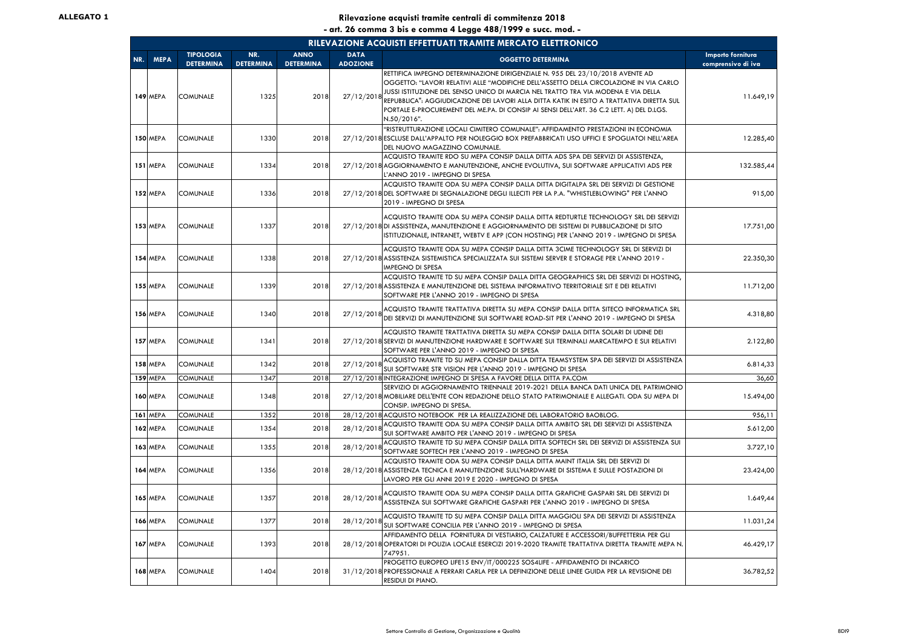|     | RILEVAZIONE ACQUISTI EFFETTUATI TRAMITE MERCATO ELETTRONICO |                                      |                         |                                 |                                |                                                                                                                                                                                                                                                                                                                                                                                                                                                                      |                                         |  |  |  |  |
|-----|-------------------------------------------------------------|--------------------------------------|-------------------------|---------------------------------|--------------------------------|----------------------------------------------------------------------------------------------------------------------------------------------------------------------------------------------------------------------------------------------------------------------------------------------------------------------------------------------------------------------------------------------------------------------------------------------------------------------|-----------------------------------------|--|--|--|--|
| NR. | <b>MEPA</b>                                                 | <b>TIPOLOGIA</b><br><b>DETERMINA</b> | NR.<br><b>DETERMINA</b> | <b>ANNO</b><br><b>DETERMINA</b> | <b>DATA</b><br><b>ADOZIONE</b> | <b>OGGETTO DETERMINA</b>                                                                                                                                                                                                                                                                                                                                                                                                                                             | Importo fornitura<br>comprensivo di iva |  |  |  |  |
|     | 149 MEPA                                                    | <b>COMUNALE</b>                      | 1325                    | 2018                            | 27/12/2018                     | RETTIFICA IMPEGNO DETERMINAZIONE DIRIGENZIALE N. 955 DEL 23/10/2018 AVENTE AD<br>OGGETTO: "LAVORI RELATIVI ALLE "MODIFICHE DELL'ASSETTO DELLA CIRCOLAZIONE IN VIA CARLO<br>JUSSI ISTITUZIONE DEL SENSO UNICO DI MARCIA NEL TRATTO TRA VIA MODENA E VIA DELLA<br>REPUBBLICA": AGGIUDICAZIONE DEI LAVORI ALLA DITTA KATIK IN ESITO A TRATTATIVA DIRETTA SUL<br>PORTALE E-PROCUREMENT DEL ME.PA. DI CONSIP AI SENSI DELL'ART. 36 C.2 LETT. A) DEL D.LGS.<br>N.50/2016". | 11.649,19                               |  |  |  |  |
|     | <b>150 MEPA</b>                                             | <b>COMUNALE</b>                      | 1330                    | 2018                            |                                | "RISTRUTTURAZIONE LOCALI CIMITERO COMUNALE": AFFIDAMENTO PRESTAZIONI IN ECONOMIA<br>27/12/2018 ESCLUSE DALL'APPALTO PER NOLEGGIO BOX PREFABBRICATI USO UFFICI E SPOGLIATOI NELL'AREA<br>DEL NUOVO MAGAZZINO COMUNALE.                                                                                                                                                                                                                                                | 12.285,40                               |  |  |  |  |
|     | 151 MEPA                                                    | <b>COMUNALE</b>                      | 1334                    | 2018                            |                                | ACQUISTO TRAMITE RDO SU MEPA CONSIP DALLA DITTA ADS SPA DEI SERVIZI DI ASSISTENZA,<br>27/12/2018 AGGIORNAMENTO E MANUTENZIONE, ANCHE EVOLUTIVA, SUI SOFTWARE APPLICATIVI ADS PER<br>L'ANNO 2019 - IMPEGNO DI SPESA                                                                                                                                                                                                                                                   | 132.585,44                              |  |  |  |  |
|     | 152 MEPA                                                    | <b>COMUNALE</b>                      | 1336                    | 2018                            |                                | ACQUISTO TRAMITE ODA SU MEPA CONSIP DALLA DITTA DIGITALPA SRL DEI SERVIZI DI GESTIONE<br>27/12/2018 DEL SOFTWARE DI SEGNALAZIONE DEGLI ILLECITI PER LA P.A. "WHISTLEBLOWING" PER L'ANNO<br>2019 - IMPEGNO DI SPESA                                                                                                                                                                                                                                                   | 915,00                                  |  |  |  |  |
|     | <b>153 MEPA</b>                                             | <b>COMUNALE</b>                      | 1337                    | 2018                            |                                | ACQUISTO TRAMITE ODA SU MEPA CONSIP DALLA DITTA REDTURTLE TECHNOLOGY SRL DEI SERVIZI<br>27/12/2018 DI ASSISTENZA, MANUTENZIONE E AGGIORNAMENTO DEI SISTEMI DI PUBBLICAZIONE DI SITO<br>ISTITUZIONALE, INTRANET, WEBTV E APP (CON HOSTING) PER L'ANNO 2019 - IMPEGNO DI SPESA                                                                                                                                                                                         | 17.751,00                               |  |  |  |  |
|     | <b>154 MEPA</b>                                             | <b>COMUNALE</b>                      | 1338                    | 2018                            |                                | ACQUISTO TRAMITE ODA SU MEPA CONSIP DALLA DITTA 3CIME TECHNOLOGY SRL DI SERVIZI DI<br>27/12/2018 ASSISTENZA SISTEMISTICA SPECIALIZZATA SUI SISTEMI SERVER E STORAGE PER L'ANNO 2019 -<br>IMPEGNO DI SPESA                                                                                                                                                                                                                                                            | 22.350,30                               |  |  |  |  |
|     | <b>155 MEPA</b>                                             | <b>COMUNALE</b>                      | 1339                    | 2018                            |                                | ACQUISTO TRAMITE TD SU MEPA CONSIP DALLA DITTA GEOGRAPHICS SRL DEI SERVIZI DI HOSTING,<br>27/12/2018 ASSISTENZA E MANUTENZIONE DEL SISTEMA INFORMATIVO TERRITORIALE SIT E DEI RELATIVI<br>SOFTWARE PER L'ANNO 2019 - IMPEGNO DI SPESA                                                                                                                                                                                                                                | 11.712,00                               |  |  |  |  |
|     | <b>156 MEPA</b>                                             | <b>COMUNALE</b>                      | 1340                    | 2018                            | 27/12/2018                     | ACQUISTO TRAMITE TRATTATIVA DIRETTA SU MEPA CONSIP DALLA DITTA SITECO INFORMATICA SRL<br>DEI SERVIZI DI MANUTENZIONE SUI SOFTWARE ROAD-SIT PER L'ANNO 2019 - IMPEGNO DI SPESA                                                                                                                                                                                                                                                                                        | 4.318,80                                |  |  |  |  |
|     | 157 MEPA                                                    | <b>COMUNALE</b>                      | 1341                    | 2018                            |                                | ACQUISTO TRAMITE TRATTATIVA DIRETTA SU MEPA CONSIP DALLA DITTA SOLARI DI UDINE DEI<br>27/12/2018 SERVIZI DI MANUTENZIONE HARDWARE E SOFTWARE SUI TERMINALI MARCATEMPO E SUI RELATIVI<br>SOFTWARE PER L'ANNO 2019 - IMPEGNO DI SPESA                                                                                                                                                                                                                                  | 2.122,80                                |  |  |  |  |
|     | <b>158 MEPA</b>                                             | <b>COMUNALE</b>                      | 1342                    | 2018                            | 27/12/2018                     | ACQUISTO TRAMITE TD SU MEPA CONSIP DALLA DITTA TEAMSYSTEM SPA DEI SERVIZI DI ASSISTENZA<br>SUI SOFTWARE STR VISION PER L'ANNO 2019 - IMPEGNO DI SPESA                                                                                                                                                                                                                                                                                                                | 6.814,33                                |  |  |  |  |
|     | <b>159 MEPA</b>                                             | COMUNALE                             | 1347                    | 2018                            |                                | 27/12/2018 INTEGRAZIONE IMPEGNO DI SPESA A FAVORE DELLA DITTA PA.COM                                                                                                                                                                                                                                                                                                                                                                                                 | 36,60                                   |  |  |  |  |
|     | <b>160 MEPA</b>                                             | <b>COMUNALE</b>                      | 1348                    | 2018                            |                                | SERVIZIO DI AGGIORNAMENTO TRIENNALE 2019-2021 DELLA BANCA DATI UNICA DEL PATRIMONIO<br>27/12/2018 MOBILIARE DELL'ENTE CON REDAZIONE DELLO STATO PATRIMONIALE E ALLEGATI. ODA SU MEPA DI<br>CONSIP. IMPEGNO DI SPESA.                                                                                                                                                                                                                                                 | 15.494,00                               |  |  |  |  |
|     | 161 MEPA                                                    | <b>COMUNALE</b>                      | 1352                    | 2018                            |                                | 28/12/2018 ACQUISTO NOTEBOOK PER LA REALIZZAZIONE DEL LABORATORIO BAOBLOG.                                                                                                                                                                                                                                                                                                                                                                                           | 956,11                                  |  |  |  |  |
|     | 162 MEPA                                                    | <b>COMUNALE</b>                      | 1354                    | 2018                            | 28/12/2018                     | ACQUISTO TRAMITE ODA SU MEPA CONSIP DALLA DITTA AMBITO SRL DEI SERVIZI DI ASSISTENZA<br>SUI SOFTWARE AMBITO PER L'ANNO 2019 - IMPEGNO DI SPESA                                                                                                                                                                                                                                                                                                                       | 5.612,00                                |  |  |  |  |
|     | <b>163 MEPA</b>                                             | <b>COMUNALE</b>                      | 1355                    | 2018                            | 28/12/2018                     | ACQUISTO TRAMITE TD SU MEPA CONSIP DALLA DITTA SOFTECH SRL DEI SERVIZI DI ASSISTENZA SUI<br>SOFTWARE SOFTECH PER L'ANNO 2019 - IMPEGNO DI SPESA                                                                                                                                                                                                                                                                                                                      | 3.727,10                                |  |  |  |  |
|     | <b>164 MEPA</b>                                             | <b>COMUNALE</b>                      | 1356                    | 2018                            |                                | ACQUISTO TRAMITE ODA SU MEPA CONSIP DALLA DITTA MAINT ITALIA SRL DEI SERVIZI DI<br>28/12/2018 ASSISTENZA TECNICA E MANUTENZIONE SULL'HARDWARE DI SISTEMA E SULLE POSTAZIONI DI<br>LAVORO PER GLI ANNI 2019 E 2020 - IMPEGNO DI SPESA                                                                                                                                                                                                                                 | 23.424,00                               |  |  |  |  |
|     | <b>165 MEPA</b>                                             | <b>COMUNALE</b>                      | 1357                    | 2018                            | 28/12/2018                     | ACQUISTO TRAMITE ODA SU MEPA CONSIP DALLA DITTA GRAFICHE GASPARI SRL DEI SERVIZI DI<br>ASSISTENZA SUI SOFTWARE GRAFICHE GASPARI PER L'ANNO 2019 - IMPEGNO DI SPESA                                                                                                                                                                                                                                                                                                   | 1.649,44                                |  |  |  |  |
|     | <b>166 MEPA</b>                                             | <b>COMUNALE</b>                      | 1377                    | 2018                            | 28/12/2018                     | ACQUISTO TRAMITE TD SU MEPA CONSIP DALLA DITTA MAGGIOLI SPA DEI SERVIZI DI ASSISTENZA<br>SUI SOFTWARE CONCILIA PER L'ANNO 2019 - IMPEGNO DI SPESA                                                                                                                                                                                                                                                                                                                    | 11.031,24                               |  |  |  |  |
|     | <b>167 MEPA</b>                                             | <b>COMUNALE</b>                      | 1393                    | 2018                            |                                | AFFIDAMENTO DELLA FORNITURA DI VESTIARIO, CALZATURE E ACCESSORI/BUFFETTERIA PER GLI<br>28/12/2018 OPERATORI DI POLIZIA LOCALE ESERCIZI 2019-2020 TRAMITE TRATTATIVA DIRETTA TRAMITE MEPA N.<br>747951.                                                                                                                                                                                                                                                               | 46.429,17                               |  |  |  |  |
|     | <b>168 MEPA</b>                                             | <b>COMUNALE</b>                      | 1404                    | 2018                            |                                | PROGETTO EUROPEO LIFE15 ENV/IT/000225 SOS4LIFE - AFFIDAMENTO DI INCARICO<br>31/12/2018 PROFESSIONALE A FERRARI CARLA PER LA DEFINIZIONE DELLE LINEE GUIDA PER LA REVISIONE DEI<br>RESIDUI DI PIANO.                                                                                                                                                                                                                                                                  | 36.782,52                               |  |  |  |  |